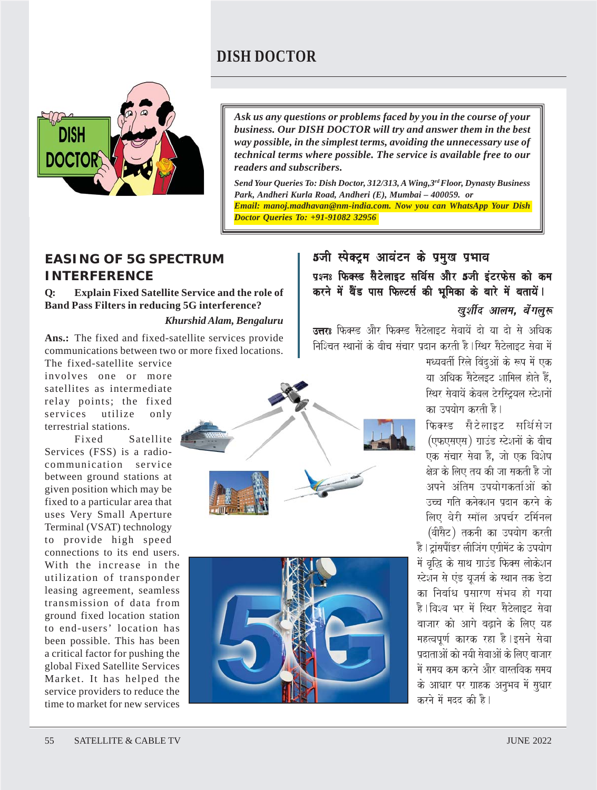# **DISH DOCTOR**



*Ask us any questions or problems faced by you in the course of your business. Our DISH DOCTOR will try and answer them in the best way possible, in the simplest terms, avoiding the unnecessary use of technical terms where possible. The service is available free to our readers and subscribers.*

*Send Your Queries To: Dish Doctor, 312/313, A Wing,3rd Floor, Dynasty Business Park, Andheri Kurla Road, Andheri (E), Mumbai – 400059. or Email: manoj.madhavan@nm-india.com. Now you can WhatsApp Your Dish Doctor Queries To: +91-91082 32956*

#### **EASING OF 5G SPECTRUM INTERFERENCE**

**Q: Explain Fixed Satellite Service and the role of Band Pass Filters in reducing 5G interference?**

#### *Khurshid Alam, Bengaluru*

**Ans.:** The fixed and fixed-satellite services provide communications between two or more fixed locations.

The fixed-satellite service involves one or more satellites as intermediate relay points; the fixed services utilize only terrestrial stations.

Fixed Satellite Services (FSS) is a radiocommunication service between ground stations at given position which may be fixed to a particular area that uses Very Small Aperture Terminal (VSAT) technology to provide high speed connections to its end users. With the increase in the utilization of transponder leasing agreement, seamless transmission of data from ground fixed location station to end-users' location has been possible. This has been a critical factor for pushing the global Fixed Satellite Services Market. It has helped the service providers to reduce the time to market for new services



5जी स्पेक्टम आवंटन के प्रमुख प्रभाव पृश्नः फिक्स्ड सैटेलाइट सर्विस और 5जी इंटरफेस को कम करने में बैंड पास फिल्टर्स की भूमिका के बारे में बतायें।

#### खुर्शीद आलम, बेंगलूरू

उत्तर: फिक्स्ड और फिक्स्ड सैटेलाइट सेवायें दो या दो से अधिक निश्चित स्थानों के बीच संचार प्रदान करती है । स्थिर सैटेलाइट सेवा में

> मध्यवर्ती रिले बिंदुओं के रूप में एक या अधिक सैटेलइट शामिल होते हैं. <u>स्थिर सेवायें केवल टेरस्टियल स्टेशनों</u> का उपयोग करती है।

> फिक्स्ड सैटेलाइट सर्विसेज (एफएसएस) ग्राउंड स्टेशनों के बीच एक संचार सेवा है. जो एक विशेष क्षेत्र के लिए तय की जा सकती है जो अपने अंतिम उपयोगकर्ताओं को .<br>उच्च गति कनेक्शन पटान करने के लिए वेरी स्मॉल अपर्चर टर्मिनल (वीसैट) तकनी का उपयोग करती

है। टांसपौंडर लीजिंग एग्रीमेंट के उपयोग .<br>में वृद्धि के साथ ग्राउंड फिक्स लोकेशन स्टेशन से एंड युजर्स के स्थान तक डेटा का निर्बाध प्रसारण संभव हो गया है।विश्व भर में स्थिर सैटेलाइट सेवा बाजार को आगे बढाने के लिए यह महत्वपर्ण कारक रहा है।इसने सेवा प्रदाताओं को नयी सेवाओं के लिए बाजार में समय कम करने और वास्तविक समय के आधार पर ग्राहक अनुभव में सुधार करने में मदद की है।